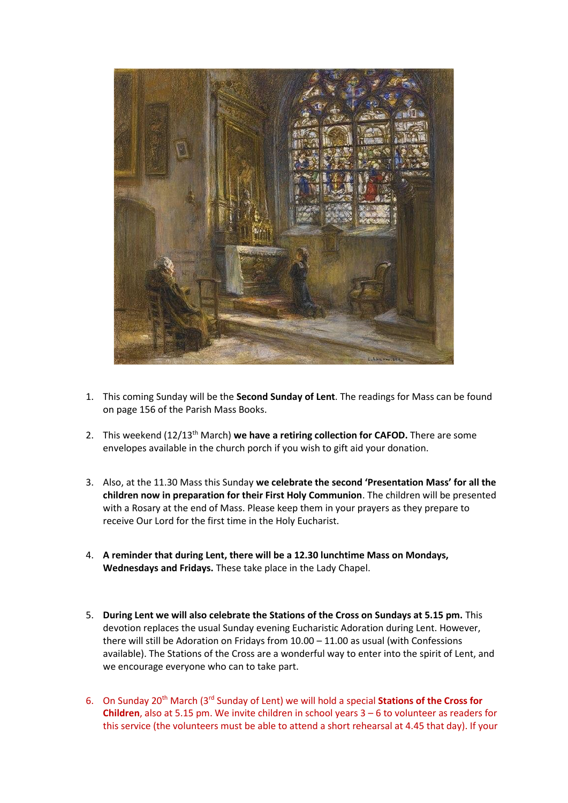

- 1. This coming Sunday will be the **Second Sunday of Lent**. The readings for Mass can be found on page 156 of the Parish Mass Books.
- 2. This weekend (12/13th March) **we have a retiring collection for CAFOD.** There are some envelopes available in the church porch if you wish to gift aid your donation.
- 3. Also, at the 11.30 Mass this Sunday **we celebrate the second 'Presentation Mass' for all the children now in preparation for their First Holy Communion**. The children will be presented with a Rosary at the end of Mass. Please keep them in your prayers as they prepare to receive Our Lord for the first time in the Holy Eucharist.
- 4. **A reminder that during Lent, there will be a 12.30 lunchtime Mass on Mondays, Wednesdays and Fridays.** These take place in the Lady Chapel.
- 5. **During Lent we will also celebrate the Stations of the Cross on Sundays at 5.15 pm.** This devotion replaces the usual Sunday evening Eucharistic Adoration during Lent. However, there will still be Adoration on Fridays from 10.00 – 11.00 as usual (with Confessions available). The Stations of the Cross are a wonderful way to enter into the spirit of Lent, and we encourage everyone who can to take part.
- 6. On Sunday 20th March (3rd Sunday of Lent) we will hold a special **Stations of the Cross for Children**, also at 5.15 pm. We invite children in school years 3 – 6 to volunteer as readers for this service (the volunteers must be able to attend a short rehearsal at 4.45 that day). If your